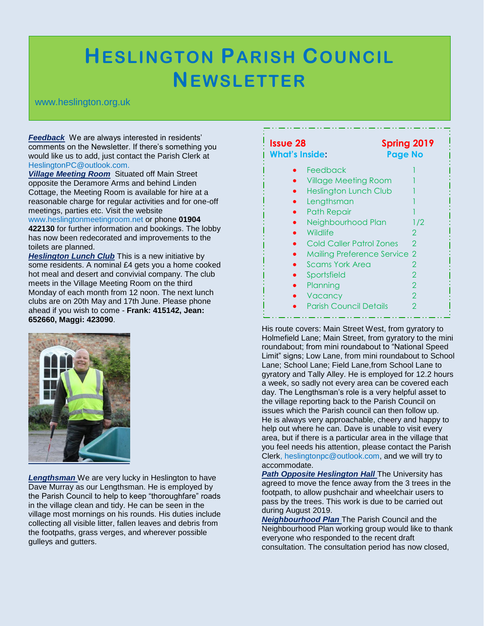## **HESLINGTON PARISH COUNCIL NEWSLETTER**

## www.heslington.org.uk

*Feedback* We are always interested in residents' comments on the Newsletter. If there's something you would like us to add, just contact the Parish Clerk at HeslingtonPC@outlook.com.

*Village Meeting Room* Situated off Main Street opposite the Deramore Arms and behind Linden Cottage, the Meeting Room is available for hire at a reasonable charge for regular activities and for one-off meetings, parties etc. Visit the website

www.heslingtonmeetingroom.net or phone **01904 422130** for further information and bookings. The lobby has now been redecorated and improvements to the toilets are planned.

**Heslington Lunch Club** This is a new initiative by some residents. A nominal £4 gets you a home cooked hot meal and desert and convivial company. The club meets in the Village Meeting Room on the third Monday of each month from 12 noon. The next lunch clubs are on 20th May and 17th June. Please phone ahead if you wish to come - **Frank: 415142, Jean: 652660, Maggi: 423090**.



*Lengthsman* We are very lucky in Heslington to have Dave Murray as our Lengthsman. He is employed by the Parish Council to help to keep "thoroughfare" roads in the village clean and tidy. He can be seen in the village most mornings on his rounds. His duties include collecting all visible litter, fallen leaves and debris from the footpaths, grass verges, and wherever possible gulleys and gutters.

| Spring 2019<br>Issue 28<br>What's Inside:<br><b>Page No</b> |     |
|-------------------------------------------------------------|-----|
| Feedback                                                    |     |
| <b>Village Meeting Room</b>                                 |     |
| <b>Heslington Lunch Club</b>                                |     |
| Lengthsman                                                  |     |
| <b>Path Repair</b>                                          |     |
| Neighbourhood Plan                                          | 1/2 |
| Wildlife                                                    | 2   |
| <b>Cold Caller Patrol Zones</b>                             | 2   |
| <b>Mailing Preference Service</b>                           | 2   |
| Scams York Area                                             | 2   |
| Sportsfield                                                 | 2   |
| Planning                                                    | 2   |
| Vacancy                                                     | 2   |
| <b>Parish Council Details</b>                               | 2   |

His route covers: Main Street West, from gyratory to Holmefield Lane; Main Street, from gyratory to the mini roundabout; from mini roundabout to "National Speed Limit" signs; Low Lane, from mini roundabout to School Lane; School Lane; Field Lane,from School Lane to gyratory and Tally Alley. He is employed for 12.2 hours a week, so sadly not every area can be covered each day. The Lengthsman's role is a very helpful asset to the village reporting back to the Parish Council on issues which the Parish council can then follow up. He is always very approachable, cheery and happy to help out where he can. Dave is unable to visit every area, but if there is a particular area in the village that you feel needs his attention, please contact the Parish Clerk, heslingtonpc@outlook.com, and we will try to accommodate.

**Path Opposite Heslington Hall The University has** agreed to move the fence away from the 3 trees in the footpath, to allow pushchair and wheelchair users to pass by the trees. This work is due to be carried out during August 2019.

*Neighbourhood Plan* The Parish Council and the Neighbourhood Plan working group would like to thank everyone who responded to the recent draft consultation. The consultation period has now closed,